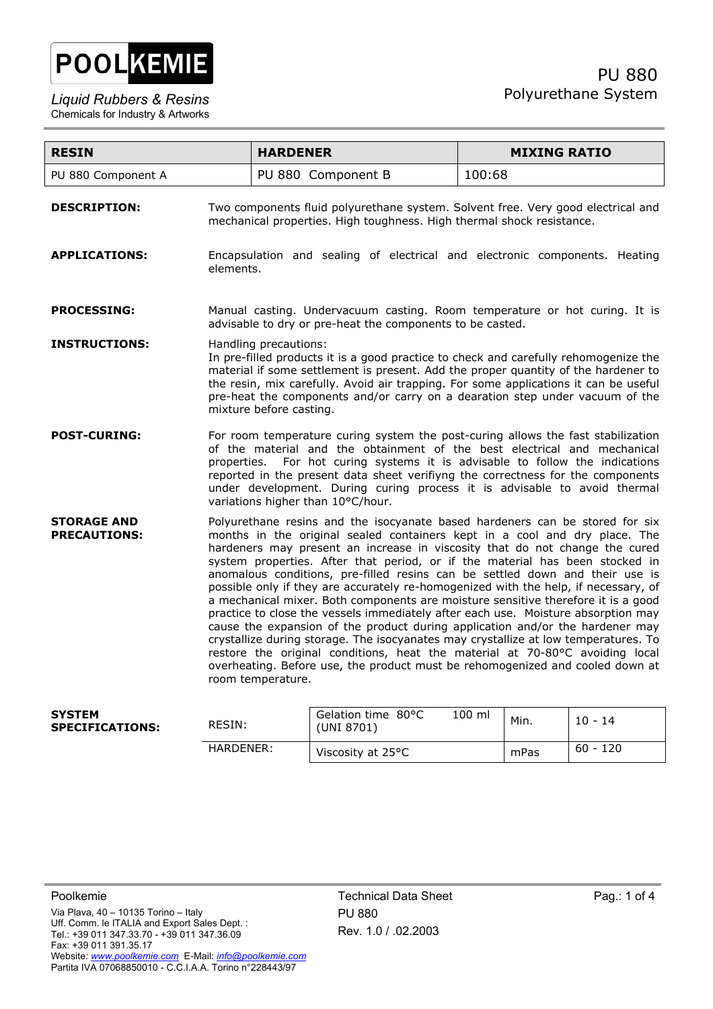

| <b>RESIN</b>                              |                                                                                                                                                                                                                                                                                                                                                                                                                                                      | <b>HARDENER</b>                                                                                                                                                                                                                                                                                                                                                                                                                                                                                                                                                                                                                                                                                                                                                                                                                                                                                                                                                                                                                          | <b>MIXING RATIO</b> |  |
|-------------------------------------------|------------------------------------------------------------------------------------------------------------------------------------------------------------------------------------------------------------------------------------------------------------------------------------------------------------------------------------------------------------------------------------------------------------------------------------------------------|------------------------------------------------------------------------------------------------------------------------------------------------------------------------------------------------------------------------------------------------------------------------------------------------------------------------------------------------------------------------------------------------------------------------------------------------------------------------------------------------------------------------------------------------------------------------------------------------------------------------------------------------------------------------------------------------------------------------------------------------------------------------------------------------------------------------------------------------------------------------------------------------------------------------------------------------------------------------------------------------------------------------------------------|---------------------|--|
| PU 880 Component A                        |                                                                                                                                                                                                                                                                                                                                                                                                                                                      | PU 880 Component B                                                                                                                                                                                                                                                                                                                                                                                                                                                                                                                                                                                                                                                                                                                                                                                                                                                                                                                                                                                                                       | 100:68              |  |
| <b>DESCRIPTION:</b>                       | Two components fluid polyurethane system. Solvent free. Very good electrical and<br>mechanical properties. High toughness. High thermal shock resistance.                                                                                                                                                                                                                                                                                            |                                                                                                                                                                                                                                                                                                                                                                                                                                                                                                                                                                                                                                                                                                                                                                                                                                                                                                                                                                                                                                          |                     |  |
| <b>APPLICATIONS:</b>                      | Encapsulation and sealing of electrical and electronic components. Heating<br>elements.                                                                                                                                                                                                                                                                                                                                                              |                                                                                                                                                                                                                                                                                                                                                                                                                                                                                                                                                                                                                                                                                                                                                                                                                                                                                                                                                                                                                                          |                     |  |
| <b>PROCESSING:</b>                        | Manual casting. Undervacuum casting. Room temperature or hot curing. It is<br>advisable to dry or pre-heat the components to be casted.                                                                                                                                                                                                                                                                                                              |                                                                                                                                                                                                                                                                                                                                                                                                                                                                                                                                                                                                                                                                                                                                                                                                                                                                                                                                                                                                                                          |                     |  |
| <b>INSTRUCTIONS:</b>                      | Handling precautions:<br>In pre-filled products it is a good practice to check and carefully rehomogenize the<br>material if some settlement is present. Add the proper quantity of the hardener to<br>the resin, mix carefully. Avoid air trapping. For some applications it can be useful<br>pre-heat the components and/or carry on a dearation step under vacuum of the<br>mixture before casting.                                               |                                                                                                                                                                                                                                                                                                                                                                                                                                                                                                                                                                                                                                                                                                                                                                                                                                                                                                                                                                                                                                          |                     |  |
| <b>POST-CURING:</b>                       | For room temperature curing system the post-curing allows the fast stabilization<br>of the material and the obtainment of the best electrical and mechanical<br>For hot curing systems it is advisable to follow the indications<br>properties.<br>reported in the present data sheet verifiyng the correctness for the components<br>under development. During curing process it is advisable to avoid thermal<br>variations higher than 10°C/hour. |                                                                                                                                                                                                                                                                                                                                                                                                                                                                                                                                                                                                                                                                                                                                                                                                                                                                                                                                                                                                                                          |                     |  |
| <b>STORAGE AND</b><br><b>PRECAUTIONS:</b> |                                                                                                                                                                                                                                                                                                                                                                                                                                                      | Polyurethane resins and the isocyanate based hardeners can be stored for six<br>months in the original sealed containers kept in a cool and dry place. The<br>hardeners may present an increase in viscosity that do not change the cured<br>system properties. After that period, or if the material has been stocked in<br>anomalous conditions, pre-filled resins can be settled down and their use is<br>possible only if they are accurately re-homogenized with the help, if necessary, of<br>a mechanical mixer. Both components are moisture sensitive therefore it is a good<br>practice to close the vessels immediately after each use. Moisture absorption may<br>cause the expansion of the product during application and/or the hardener may<br>crystallize during storage. The isocyanates may crystallize at low temperatures. To<br>restore the original conditions, heat the material at 70-80°C avoiding local<br>overheating. Before use, the product must be rehomogenized and cooled down at<br>room temperature. |                     |  |

| <b>SYSTEM</b><br><b>SPECIFICATIONS:</b> | RESIN:    | Gelation time 80°C<br>(UNI 8701) | 100 ml | Min. | $10 - 14$  |
|-----------------------------------------|-----------|----------------------------------|--------|------|------------|
|                                         | HARDENER: | Viscosity at 25°C                |        | mPas | $60 - 120$ |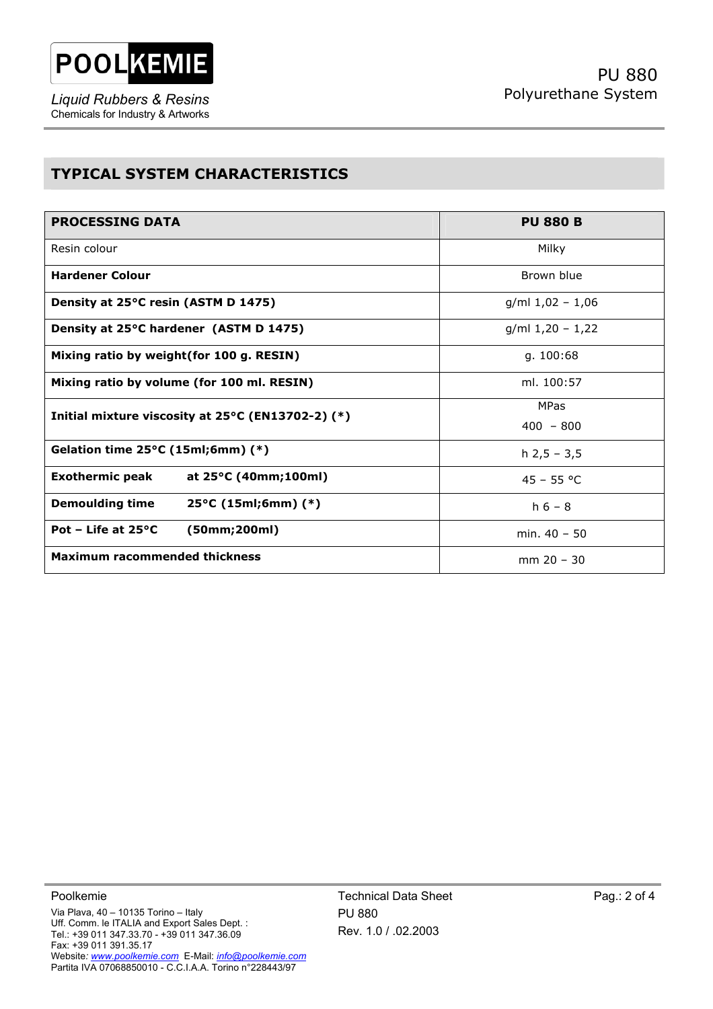

*Liquid Rubbers & Resins*  Chemicals for Industry & Artworks

## **TYPICAL SYSTEM CHARACTERISTICS**

| <b>PROCESSING DATA</b>                                  | <b>PU 880 B</b>    |  |  |
|---------------------------------------------------------|--------------------|--|--|
| Resin colour                                            | Milky              |  |  |
| <b>Hardener Colour</b>                                  | Brown blue         |  |  |
| Density at 25°C resin (ASTM D 1475)                     | $g/ml$ 1,02 - 1,06 |  |  |
| Density at 25°C hardener (ASTM D 1475)                  | $g/ml 1,20 - 1,22$ |  |  |
| Mixing ratio by weight (for 100 g. RESIN)               | g. $100:68$        |  |  |
| Mixing ratio by volume (for 100 ml. RESIN)              | ml. 100:57         |  |  |
| Initial mixture viscosity at 25°C (EN13702-2) (*)       | <b>MPas</b>        |  |  |
|                                                         | $400 - 800$        |  |  |
| Gelation time $25^{\circ}$ C (15ml;6mm) (*)             | $h$ 2,5 - 3,5      |  |  |
| <b>Exothermic peak</b><br>at 25°C (40mm;100ml)          | $45 - 55 °C$       |  |  |
| <b>Demoulding time</b><br>$25^{\circ}$ C (15ml;6mm) (*) | $h 6 - 8$          |  |  |
| Pot – Life at $25^{\circ}$ C<br>(50mm;200ml)            | min. $40 - 50$     |  |  |
| <b>Maximum racommended thickness</b>                    | $mm 20 - 30$       |  |  |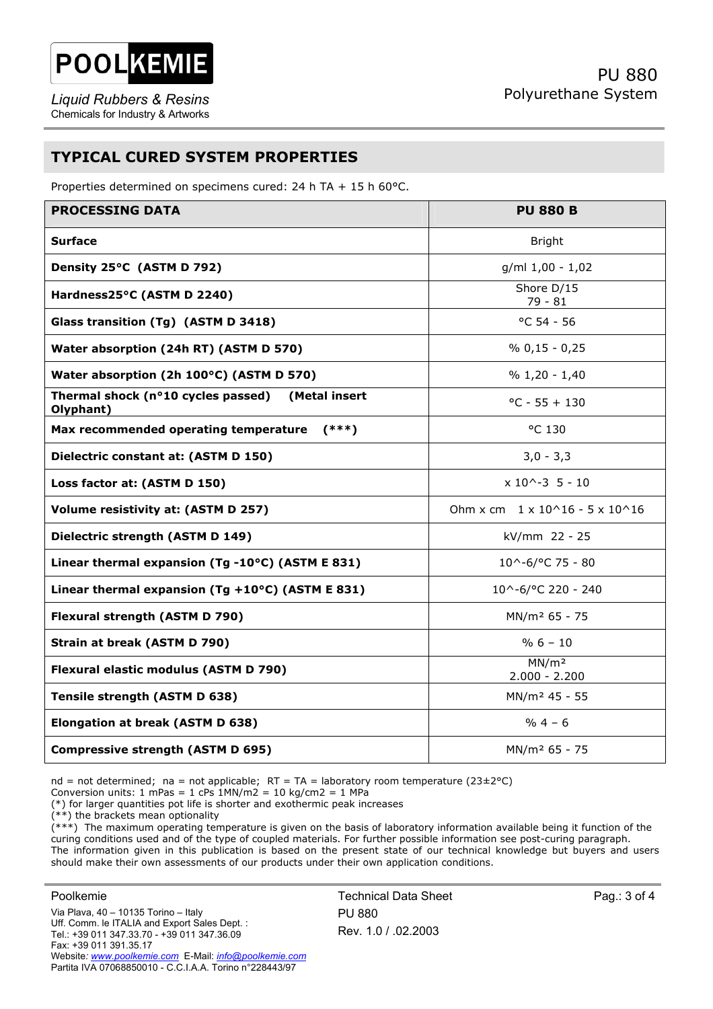

## **TYPICAL CURED SYSTEM PROPERTIES**

Properties determined on specimens cured: 24 h TA + 15 h 60°C.

| <b>PROCESSING DATA</b>                                           | <b>PU 880 B</b>                            |  |  |  |
|------------------------------------------------------------------|--------------------------------------------|--|--|--|
| <b>Surface</b>                                                   | <b>Bright</b>                              |  |  |  |
| Density 25°C (ASTM D 792)                                        | g/ml 1,00 - 1,02                           |  |  |  |
| Hardness25°C (ASTM D 2240)                                       | Shore D/15<br>79 - 81                      |  |  |  |
| Glass transition (Tg) (ASTM D 3418)                              | $^{\circ}$ C 54 - 56                       |  |  |  |
| Water absorption (24h RT) (ASTM D 570)                           | $% 0,15 - 0,25$                            |  |  |  |
| Water absorption (2h 100°C) (ASTM D 570)                         | $% 1,20 - 1,40$                            |  |  |  |
| Thermal shock (n°10 cycles passed)<br>(Metal insert<br>Olyphant) | $^{\circ}$ C - 55 + 130                    |  |  |  |
| Max recommended operating temperature<br>$(***)$                 | °C 130                                     |  |  |  |
| Dielectric constant at: (ASTM D 150)                             | $3,0 - 3,3$                                |  |  |  |
| Loss factor at: (ASTM D 150)                                     | $x 10^{\sim -3} 5 - 10$                    |  |  |  |
| Volume resistivity at: (ASTM D 257)                              | Ohm x cm $1 \times 10^16 - 5 \times 10^16$ |  |  |  |
| Dielectric strength (ASTM D 149)                                 | kV/mm 22 - 25                              |  |  |  |
| Linear thermal expansion (Tg-10°C) (ASTM E 831)                  | $10^{\circ} - 6$ /°C 75 - 80               |  |  |  |
| Linear thermal expansion (Tg +10 $^{\circ}$ C) (ASTM E 831)      | 10^-6/°C 220 - 240                         |  |  |  |
| Flexural strength (ASTM D 790)                                   | MN/m <sup>2</sup> 65 - 75                  |  |  |  |
| Strain at break (ASTM D 790)                                     | $% 6 - 10$                                 |  |  |  |
| Flexural elastic modulus (ASTM D 790)                            | MN/m <sup>2</sup><br>$2.000 - 2.200$       |  |  |  |
| Tensile strength (ASTM D 638)                                    | MN/m <sup>2</sup> 45 - 55                  |  |  |  |
| Elongation at break (ASTM D 638)                                 | $% 4 - 6$                                  |  |  |  |
| <b>Compressive strength (ASTM D 695)</b>                         | MN/m <sup>2</sup> 65 - 75                  |  |  |  |

nd = not determined; na = not applicable;  $RT = TA =$  laboratory room temperature (23±2°C)

Conversion units:  $1 \text{ mPas} = 1 \text{ cPs } 1 \text{MN/m2} = 10 \text{ kg/cm2} = 1 \text{ MPa}$ 

(\*) for larger quantities pot life is shorter and exothermic peak increases

(\*\*) the brackets mean optionality

(\*\*\*) The maximum operating temperature is given on the basis of laboratory information available being it function of the curing conditions used and of the type of coupled materials. For further possible information see post-curing paragraph. The information given in this publication is based on the present state of our technical knowledge but buyers and users should make their own assessments of our products under their own application conditions.

Poolkemie Via Plava, 40 – 10135 Torino – Italy Uff. Comm. le ITALIA and Export Sales Dept. : Tel.: +39 011 347.33.70 - +39 011 347.36.09 Fax: +39 011 391.35.17 Website*: www.poolkemie.com* E-Mail: *info@poolkemie.com* Partita IVA 07068850010 - C.C.I.A.A. Torino n°228443/97

Technical Data Sheet PU 880 Rev. 1.0 / .02.2003